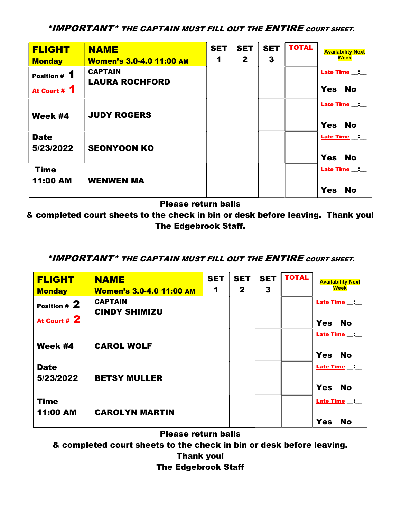\*IMPORTANT\* THE CAPTAIN MUST FILL OUT THE ENTIRE COURT SHEET.

| <b>FLIGHT</b>                  | <b>NAME</b>                     | <b>SET</b> | <b>SET</b>   | <b>SET</b> | <b>TOTAL</b> | <b>Availability Next</b>                  |
|--------------------------------|---------------------------------|------------|--------------|------------|--------------|-------------------------------------------|
| <b>Monday</b>                  | <b>Women's 3.0-4.0 11:00 AM</b> | 1          | $\mathbf{2}$ | 3          |              | <b>Week</b>                               |
| Position # 1                   | <b>CAPTAIN</b>                  |            |              |            |              | <b>Late Time</b>                          |
| At Court # 1                   | <b>LAURA ROCHFORD</b>           |            |              |            |              | <b>Yes</b><br><b>No</b>                   |
| Week #4                        | <b>JUDY ROGERS</b>              |            |              |            |              | Late Time _: _<br><b>No</b><br><b>Yes</b> |
| <b>Date</b><br>5/23/2022       | <b>SEONYOON KO</b>              |            |              |            |              | Late Time<br><b>Yes</b><br><b>No</b>      |
| <b>Time</b><br><b>11:00 AM</b> | <b>WENWEN MA</b>                |            |              |            |              | Late Time _: _<br><b>Yes</b><br><b>No</b> |

Please return balls

& completed court sheets to the check in bin or desk before leaving. Thank you! The Edgebrook Staff.

## \*IMPORTANT\* THE CAPTAIN MUST FILL OUT THE **ENTIRE** COURT SHEET.

| <b>FLIGHT</b>            | <b>NAME</b>                            | <b>SET</b> | <b>SET</b>   | <b>SET</b> | <b>TOTAL</b> | <b>Availability Next</b>                    |
|--------------------------|----------------------------------------|------------|--------------|------------|--------------|---------------------------------------------|
| <b>Monday</b>            | <b>Women's 3.0-4.0 11:00 AM</b>        | 1          | $\mathbf{2}$ | 3          |              | <b>Week</b>                                 |
| Position # 2             | <b>CAPTAIN</b><br><b>CINDY SHIMIZU</b> |            |              |            |              | <b>Late Time <math>\_\_\_\_\_\_\</math></b> |
| At Court # 2             |                                        |            |              |            |              | <b>Yes</b><br><b>No</b>                     |
| Week #4                  | <b>CAROL WOLF</b>                      |            |              |            |              | <b>Late Time __: __</b>                     |
|                          |                                        |            |              |            |              | <b>Yes</b><br><b>No</b>                     |
| <b>Date</b><br>5/23/2022 | <b>BETSY MULLER</b>                    |            |              |            |              | Late Time _:                                |
|                          |                                        |            |              |            |              | <b>Yes</b><br><b>No</b>                     |
| <b>Time</b>              |                                        |            |              |            |              | <b>Late Time __: __</b>                     |
| <b>11:00 AM</b>          | <b>CAROLYN MARTIN</b>                  |            |              |            |              | <b>Yes</b><br><b>No</b>                     |

Please return balls

& completed court sheets to the check in bin or desk before leaving.

Thank you!

## The Edgebrook Staff